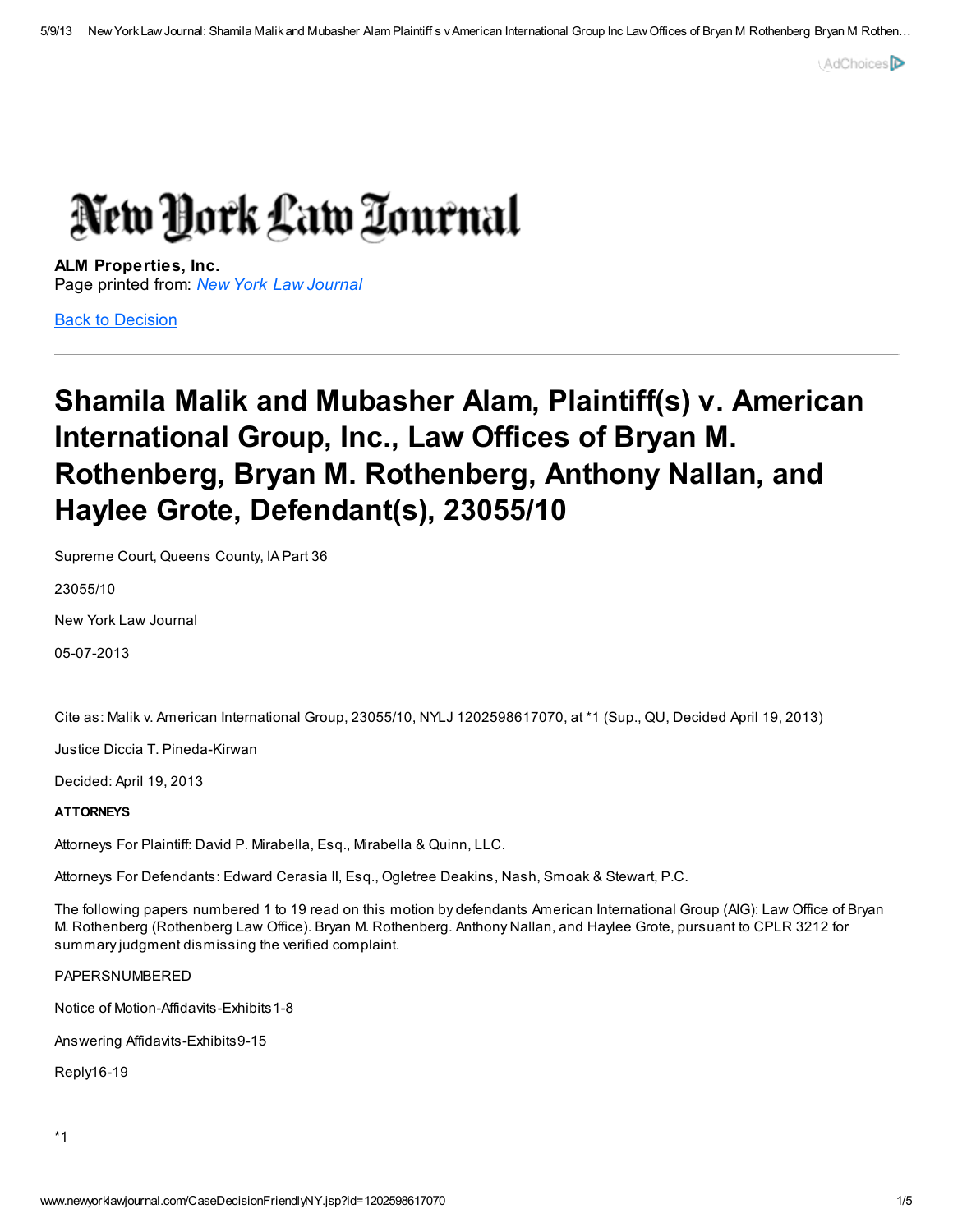

ALM Properties, Inc. Page printed from: New York Law [Journal](http://www.newyorklawjournal.com/index.jsp)

Back to [Decision](http://www.newyorklawjournal.com/CaseDecisionNY.jsp?id=1202598617070)

## Shamila Malik and Mubasher Alam, Plaintiff(s) v. American International Group, Inc., Law Offices of Bryan M. Rothenberg, Bryan M. Rothenberg, Anthony Nallan, and Haylee Grote, Defendant(s), 23055/10

Supreme Court, Queens County, IA Part 36

23055/10

New York Law Journal

05-07-2013

Cite as: Malik v. American International Group, 23055/10, NYLJ 1202598617070, at \*1 (Sup., QU, Decided April 19, 2013)

Justice Diccia T. Pineda-Kirwan

Decided: April 19, 2013

## **ATTORNEYS**

Attorneys For Plaintiff: David P. Mirabella, Esq., Mirabella & Quinn, LLC.

Attorneys For Defendants: Edward Cerasia II, Esq., Ogletree Deakins, Nash, Smoak & Stewart, P.C.

The following papers numbered 1 to 19 read on this motion by defendants American International Group (AIG): Law Office of Bryan M. Rothenberg (Rothenberg Law Office). Bryan M. Rothenberg. Anthony Nallan, and Haylee Grote, pursuant to CPLR 3212 for summary judgment dismissing the verified complaint.

PAPERSNUMBERED

Notice of Motion-Affidavits-Exhibits1-8

Answering Affidavits-Exhibits9-15

Reply16-19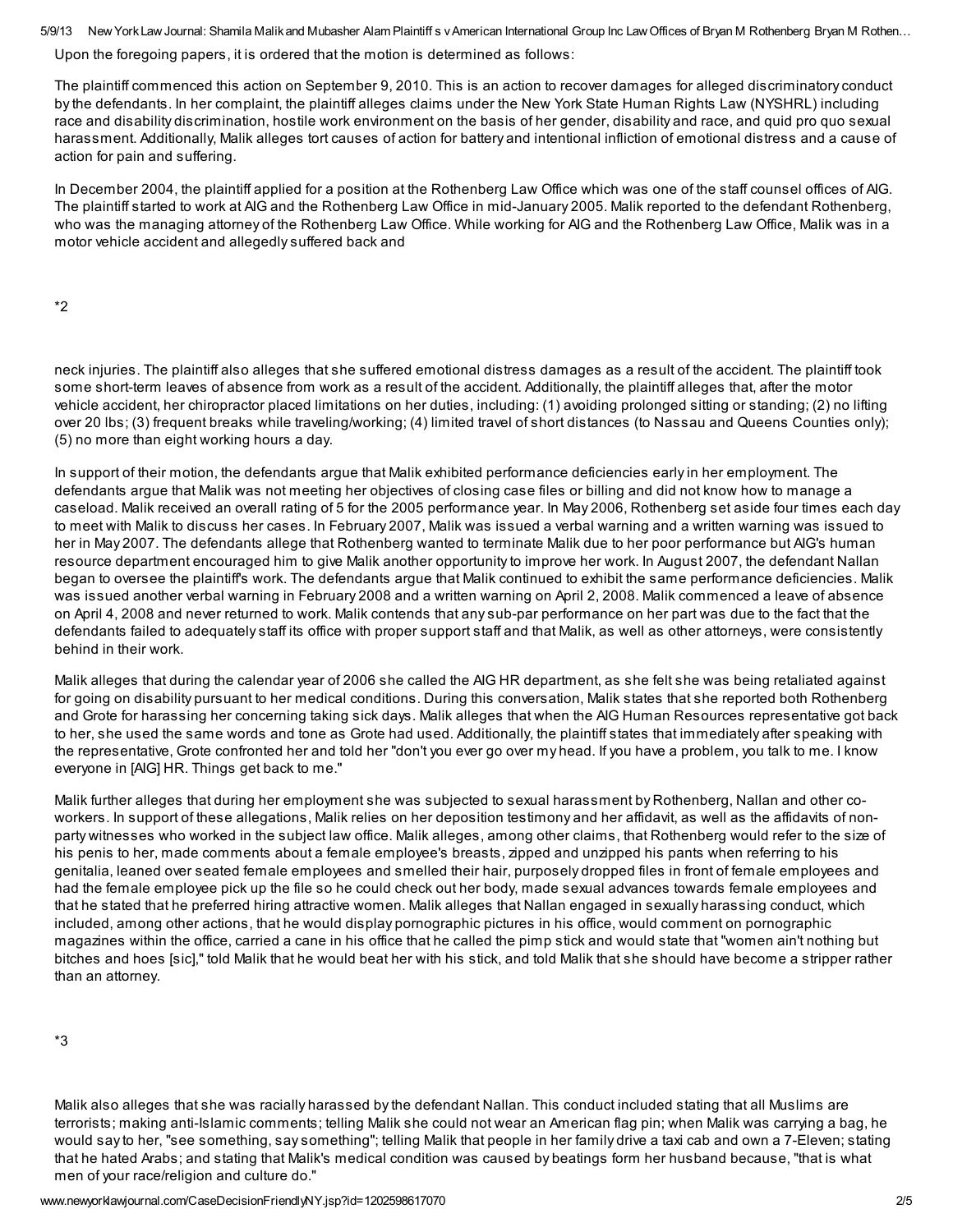5/9/13 New York Law Journal: Shamila Malikand Mubasher Alam Plaintiff s v American International Group Inc Law Offices of Bryan M Rothenberg Bryan M Rothen...

Upon the foregoing papers, it is ordered that the motion is determined as follows:

The plaintiff commenced this action on September 9, 2010. This is an action to recover damages for alleged discriminatory conduct by the defendants. In her complaint, the plaintiff alleges claims under the New York State Human Rights Law (NYSHRL) including race and disability discrimination, hostile work environment on the basis of her gender, disability and race, and quid pro quo sexual harassment. Additionally, Malik alleges tort causes of action for battery and intentional infliction of emotional distress and a cause of action for pain and suffering.

In December 2004, the plaintiff applied for a position at the Rothenberg Law Office which was one of the staff counsel offices of AIG. The plaintiff started to work at AIG and the Rothenberg Law Office in mid-January 2005. Malik reported to the defendant Rothenberg, who was the managing attorney of the Rothenberg Law Office. While working for AIG and the Rothenberg Law Office, Malik was in a motor vehicle accident and allegedly suffered back and

\*2

neck injuries. The plaintiff also alleges that she suffered emotional distress damages as a result of the accident. The plaintiff took some short-term leaves of absence from work as a result of the accident. Additionally, the plaintiff alleges that, after the motor vehicle accident, her chiropractor placed limitations on her duties, including: (1) avoiding prolonged sitting or standing; (2) no lifting over 20 lbs; (3) frequent breaks while traveling/working; (4) limited travel of short distances (to Nassau and Queens Counties only); (5) no more than eight working hours a day.

In support of their motion, the defendants argue that Malik exhibited performance deficiencies early in her employment. The defendants argue that Malik was not meeting her objectives of closing case files or billing and did not know how to manage a caseload. Malik received an overall rating of 5 for the 2005 performance year. In May 2006, Rothenberg set aside four times each day to meet with Malik to discuss her cases. In February 2007, Malik was issued a verbal warning and a written warning was issued to her in May 2007. The defendants allege that Rothenberg wanted to terminate Malik due to her poor performance but AIG's human resource department encouraged him to give Malik another opportunity to improve her work. In August 2007, the defendant Nallan began to oversee the plaintiff's work. The defendants argue that Malik continued to exhibit the same performance deficiencies. Malik was issued another verbal warning in February 2008 and a written warning on April 2, 2008. Malik commenced a leave of absence on April 4, 2008 and never returned to work. Malik contends that any sub-par performance on her part was due to the fact that the defendants failed to adequately staff its office with proper support staff and that Malik, as well as other attorneys, were consistently behind in their work.

Malik alleges that during the calendar year of 2006 she called the AIG HR department, as she felt she was being retaliated against for going on disability pursuant to her medical conditions. During this conversation, Malik states that she reported both Rothenberg and Grote for harassing her concerning taking sick days. Malik alleges that when the AIG Human Resources representative got back to her, she used the same words and tone as Grote had used. Additionally, the plaintiff states that immediately after speaking with the representative, Grote confronted her and told her "don't you ever go over my head. If you have a problem, you talk to me. I know everyone in [AIG] HR. Things get back to me."

Malik further alleges that during her employment she was subjected to sexual harassment by Rothenberg, Nallan and other coworkers. In support of these allegations, Malik relies on her deposition testimony and her affidavit, as well as the affidavits of nonparty witnesses who worked in the subject law office. Malik alleges, among other claims, that Rothenberg would refer to the size of his penis to her, made comments about a female employee's breasts, zipped and unzipped his pants when referring to his genitalia, leaned over seated female employees and smelled their hair, purposely dropped files in front of female employees and had the female employee pick up the file so he could check out her body, made sexual advances towards female employees and that he stated that he preferred hiring attractive women. Malik alleges that Nallan engaged in sexually harassing conduct, which included, among other actions, that he would display pornographic pictures in his office, would comment on pornographic magazines within the office, carried a cane in his office that he called the pimp stick and would state that "women ain't nothing but bitches and hoes [sic]," told Malik that he would beat her with his stick, and told Malik that she should have become a stripper rather than an attorney.

\*3

Malik also alleges that she was racially harassed by the defendant Nallan. This conduct included stating that all Muslims are terrorists; making anti-Islamic comments; telling Malik she could not wear an American flag pin; when Malik was carrying a bag, he would say to her, "see something, say something"; telling Malik that people in her family drive a taxi cab and own a 7-Eleven; stating that he hated Arabs; and stating that Malik's medical condition was caused by beatings form her husband because, "that is what men of your race/religion and culture do."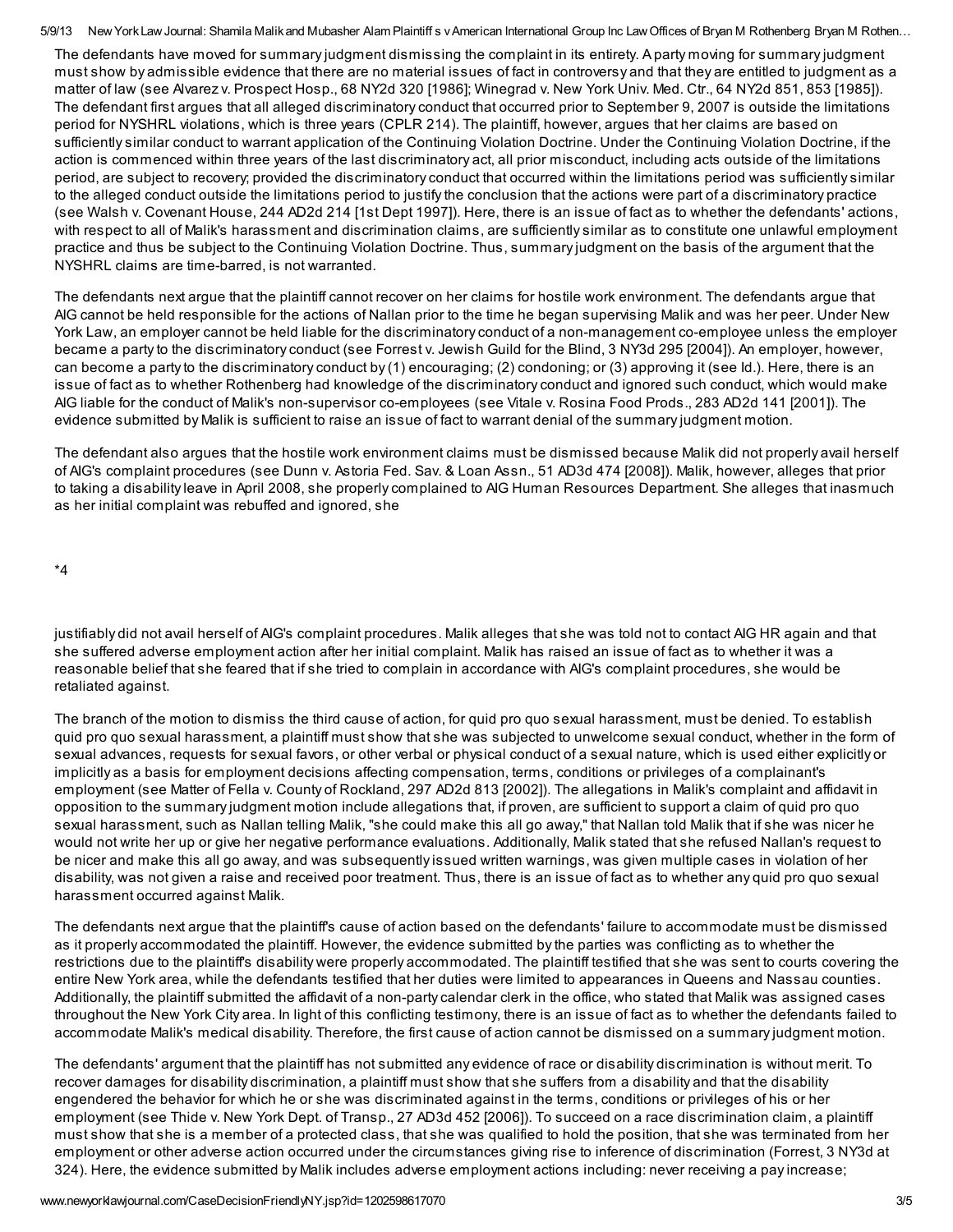5/9/13 New York Law Journal: Shamila Malikand Mubasher Alam Plaintiff s v American International Group Inc Law Offices of Bryan M Rothenberg Bryan M Rothen...

The defendants have moved for summary judgment dismissing the complaint in its entirety. A party moving for summary judgment must show by admissible evidence that there are no material issues of fact in controversy and that they are entitled to judgment as a matter of law (see Alvarez v. Prospect Hosp., 68 NY2d 320 [1986]; Winegrad v. New York Univ. Med. Ctr., 64 NY2d 851, 853 [1985]). The defendant first argues that all alleged discriminatory conduct that occurred prior to September 9, 2007 is outside the limitations period for NYSHRL violations, which is three years (CPLR 214). The plaintiff, however, argues that her claims are based on sufficiently similar conduct to warrant application of the Continuing Violation Doctrine. Under the Continuing Violation Doctrine, if the action is commenced within three years of the last discriminatory act, all prior misconduct, including acts outside of the limitations period, are subject to recovery; provided the discriminatory conduct that occurred within the limitations period was sufficiently similar to the alleged conduct outside the limitations period to justify the conclusion that the actions were part of a discriminatory practice (see Walsh v. Covenant House, 244 AD2d 214 [1st Dept 1997]). Here, there is an issue of fact as to whether the defendants' actions, with respect to all of Malik's harassment and discrimination claims, are sufficiently similar as to constitute one unlawful employment practice and thus be subject to the Continuing Violation Doctrine. Thus, summary judgment on the basis of the argument that the NYSHRL claims are time-barred, is not warranted.

The defendants next argue that the plaintiff cannot recover on her claims for hostile work environment. The defendants argue that AIG cannot be held responsible for the actions of Nallan prior to the time he began supervising Malik and was her peer. Under New York Law, an employer cannot be held liable for the discriminatory conduct of a non-management co-employee unless the employer became a party to the discriminatory conduct (see Forrest v. Jewish Guild for the Blind, 3 NY3d 295 [2004]). An employer, however, can become a party to the discriminatory conduct by (1) encouraging; (2) condoning; or (3) approving it (see Id.). Here, there is an issue of fact as to whether Rothenberg had knowledge of the discriminatory conduct and ignored such conduct, which would make AIG liable for the conduct of Malik's non-supervisor co-employees (see Vitale v. Rosina Food Prods., 283 AD2d 141 [2001]). The evidence submitted by Malik is sufficient to raise an issue of fact to warrant denial of the summary judgment motion.

The defendant also argues that the hostile work environment claims must be dismissed because Malik did not properly avail herself of AIG's complaint procedures (see Dunn v. Astoria Fed. Sav. & Loan Assn., 51 AD3d 474 [2008]). Malik, however, alleges that prior to taking a disability leave in April 2008, she properly complained to AIG Human Resources Department. She alleges that inasmuch as her initial complaint was rebuffed and ignored, she

\*4

justifiably did not avail herself of AIG's complaint procedures. Malik alleges that she was told not to contact AIG HR again and that she suffered adverse employment action after her initial complaint. Malik has raised an issue of fact as to whether it was a reasonable belief that she feared that if she tried to complain in accordance with AIG's complaint procedures, she would be retaliated against.

The branch of the motion to dismiss the third cause of action, for quid pro quo sexual harassment, must be denied. To establish quid pro quo sexual harassment, a plaintiff must show that she was subjected to unwelcome sexual conduct, whether in the form of sexual advances, requests for sexual favors, or other verbal or physical conduct of a sexual nature, which is used either explicitly or implicitly as a basis for employment decisions affecting compensation, terms, conditions or privileges of a complainant's employment (see Matter of Fella v. County of Rockland, 297 AD2d 813 [2002]). The allegations in Malik's complaint and affidavit in opposition to the summary judgment motion include allegations that, if proven, are sufficient to support a claim of quid pro quo sexual harassment, such as Nallan telling Malik, "she could make this all go away," that Nallan told Malik that if she was nicer he would not write her up or give her negative performance evaluations. Additionally, Malik stated that she refused Nallan's request to be nicer and make this all go away, and was subsequently issued written warnings, was given multiple cases in violation of her disability, was not given a raise and received poor treatment. Thus, there is an issue of fact as to whether any quid pro quo sexual harassment occurred against Malik.

The defendants next argue that the plaintiff's cause of action based on the defendants' failure to accommodate must be dismissed as it properly accommodated the plaintiff. However, the evidence submitted by the parties was conflicting as to whether the restrictions due to the plaintiff's disability were properly accommodated. The plaintiff testified that she was sent to courts covering the entire New York area, while the defendants testified that her duties were limited to appearances in Queens and Nassau counties. Additionally, the plaintiff submitted the affidavit of a non-party calendar clerk in the office, who stated that Malik was assigned cases throughout the New York City area. In light of this conflicting testimony, there is an issue of fact as to whether the defendants failed to accommodate Malik's medical disability. Therefore, the first cause of action cannot be dismissed on a summary judgment motion.

The defendants' argument that the plaintiff has not submitted any evidence of race or disability discrimination is without merit. To recover damages for disability discrimination, a plaintiff must show that she suffers from a disability and that the disability engendered the behavior for which he or she was discriminated against in the terms, conditions or privileges of his or her employment (see Thide v. New York Dept. of Transp., 27 AD3d 452 [2006]). To succeed on a race discrimination claim, a plaintiff must show that she is a member of a protected class, that she was qualified to hold the position, that she was terminated from her employment or other adverse action occurred under the circumstances giving rise to inference of discrimination (Forrest, 3 NY3d at 324). Here, the evidence submitted by Malik includes adverse employment actions including: never receiving a pay increase;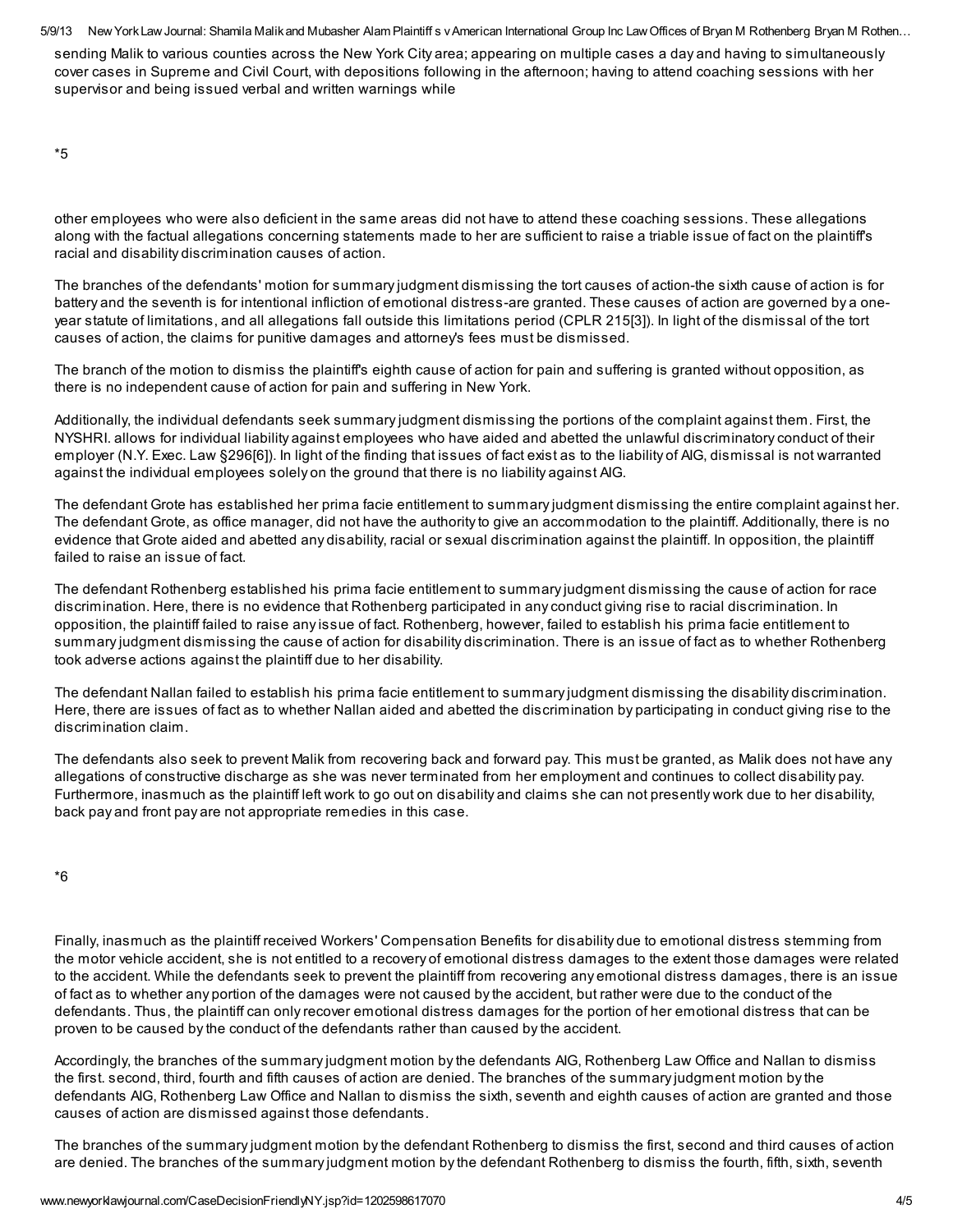5/9/13 New York Law Journal: Shamila Malikand Mubasher Alam Plaintiff s v American International Group Inc Law Offices of Bryan M Rothenberg Bryan M Rothen... sending Malik to various counties across the New York City area; appearing on multiple cases a day and having to simultaneously cover cases in Supreme and Civil Court, with depositions following in the afternoon; having to attend coaching sessions with her supervisor and being issued verbal and written warnings while

\*5

other employees who were also deficient in the same areas did not have to attend these coaching sessions. These allegations along with the factual allegations concerning statements made to her are sufficient to raise a triable issue of fact on the plaintiff's racial and disability discrimination causes of action.

The branches of the defendants' motion for summary judgment dismissing the tort causes of action-the sixth cause of action is for battery and the seventh is for intentional infliction of emotional distress-are granted. These causes of action are governed by a oneyear statute of limitations, and all allegations fall outside this limitations period (CPLR 215[3]). In light of the dismissal of the tort causes of action, the claims for punitive damages and attorney's fees must be dismissed.

The branch of the motion to dismiss the plaintiff's eighth cause of action for pain and suffering is granted without opposition, as there is no independent cause of action for pain and suffering in New York.

Additionally, the individual defendants seek summary judgment dismissing the portions of the complaint against them. First, the NYSHRI. allows for individual liability against employees who have aided and abetted the unlawful discriminatory conduct of their employer (N.Y. Exec. Law §296[6]). In light of the finding that issues of fact exist as to the liability of AIG, dismissal is not warranted against the individual employees solely on the ground that there is no liability against AIG.

The defendant Grote has established her prima facie entitlement to summary judgment dismissing the entire complaint against her. The defendant Grote, as office manager, did not have the authority to give an accommodation to the plaintiff. Additionally, there is no evidence that Grote aided and abetted any disability, racial or sexual discrimination against the plaintiff. In opposition, the plaintiff failed to raise an issue of fact.

The defendant Rothenberg established his prima facie entitlement to summary judgment dismissing the cause of action for race discrimination. Here, there is no evidence that Rothenberg participated in any conduct giving rise to racial discrimination. In opposition, the plaintiff failed to raise any issue of fact. Rothenberg, however, failed to establish his prima facie entitlement to summary judgment dismissing the cause of action for disability discrimination. There is an issue of fact as to whether Rothenberg took adverse actions against the plaintiff due to her disability.

The defendant Nallan failed to establish his prima facie entitlement to summary judgment dismissing the disability discrimination. Here, there are issues of fact as to whether Nallan aided and abetted the discrimination by participating in conduct giving rise to the discrimination claim.

The defendants also seek to prevent Malik from recovering back and forward pay. This must be granted, as Malik does not have any allegations of constructive discharge as she was never terminated from her employment and continues to collect disability pay. Furthermore, inasmuch as the plaintiff left work to go out on disability and claims she can not presently work due to her disability, back pay and front pay are not appropriate remedies in this case.

| .,<br>¢<br>×<br>۰.<br>$\sim$ |
|------------------------------|
|                              |

Finally, inasmuch as the plaintiff received Workers' Compensation Benefits for disability due to emotional distress stemming from the motor vehicle accident, she is not entitled to a recovery of emotional distress damages to the extent those damages were related to the accident. While the defendants seek to prevent the plaintiff from recovering any emotional distress damages, there is an issue of fact as to whether any portion of the damages were not caused by the accident, but rather were due to the conduct of the defendants. Thus, the plaintiff can only recover emotional distress damages for the portion of her emotional distress that can be proven to be caused by the conduct of the defendants rather than caused by the accident.

Accordingly, the branches of the summary judgment motion by the defendants AIG, Rothenberg Law Office and Nallan to dismiss the first. second, third, fourth and fifth causes of action are denied. The branches of the summary judgment motion by the defendants AIG, Rothenberg Law Office and Nallan to dismiss the sixth, seventh and eighth causes of action are granted and those causes of action are dismissed against those defendants.

The branches of the summary judgment motion by the defendant Rothenberg to dismiss the first, second and third causes of action are denied. The branches of the summary judgment motion by the defendant Rothenberg to dismiss the fourth, fifth, sixth, seventh